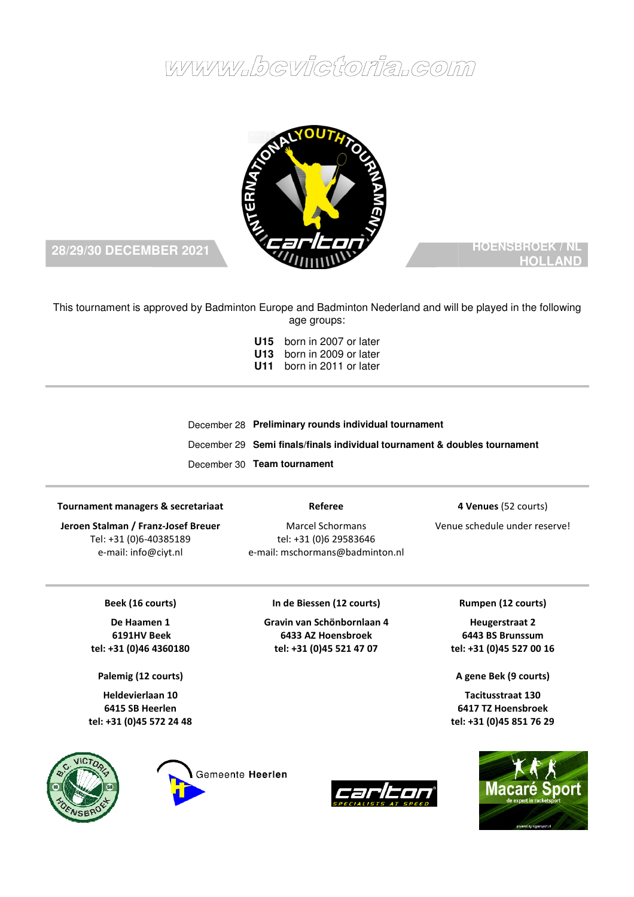# www.bcvictoria.com



## **28/29/30 DECEMBER 2021**

## **HOENSBROEK / NL HOLLAND**

This tournament is approved by Badminton Europe and Badminton Nederland and will be played in the following age groups:

| U15 born in 2007 or later        |
|----------------------------------|
| U13 born in 2009 or later        |
| <b>U11</b> born in 2011 or later |

December December 28 **Preliminary rounds individual tournament**  December 29 Semi finals/finals individual tournament & doubles tournament December 30 **Team tournament** 

#### **Tournament managers & secretariaat**

**Jeroen Stalman / Franz-Josef Breuer** Tel: +31 (0)6-40385189 e-mail: info@ciyt.nl

**Referee**

Marcel Schormans tel: +31 (0)6 29583646 e-mail: mschormans@badminton.nl

> **In de Biessen (12 courts) Gravin van Schönbornlaan 4 6433 AZ Hoensbroek**

**4 Venues** (52 courts)

Venue schedule under reserve!

**Rumpen (12 courts) Heugerstraat 2 6443 BS Brunssum** 

**A gen gene Bek (9 courts)** 

**64 6417 TZ Hoensbroek tel: +31 (0)45 851 76 29** 

**Tacitusstraat 130** 

#### **Beek (16 courts)**

**De Haamen 1 6191HV Beek tel: +31 (0)46 4360180** 

**Palemig (12 courts)** 

**Heldevierlaan 10 6415 SB Heerlen tel: +31 (0)45 572 24 48** 







**tel: +31 (0)45 521 47 07 tel: +31 (0)45 527 00 16**

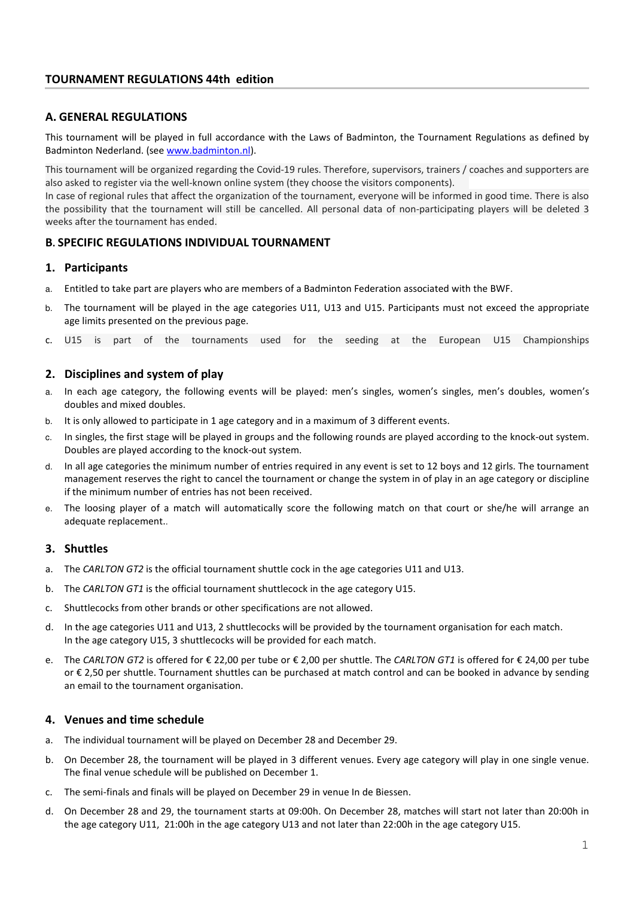## **A. GENERAL REGULATIONS**

This tournament will be played in full accordance with the Laws of Badminton, the Tournament Regulations as defined by Badminton Nederland. (see www.badminton.nl).

This tournament will be organized regarding the Covid-19 rules. Therefore, supervisors, trainers / coaches and supporters are also asked to register via the well-known online system (they choose the visitors components).

In case of regional rules that affect the organization of the tournament, everyone will be informed in good time. There is also the possibility that the tournament will still be cancelled. All personal data of non-participating players will be deleted 3 weeks after the tournament has ended.

## **B. SPECIFIC REGULATIONS INDIVIDUAL TOURNAMENT**

## **1. Participants**

- a. Entitled to take part are players who are members of a Badminton Federation associated with the BWF.
- b. The tournament will be played in the age categories U11, U13 and U15. Participants must not exceed the appropriate age limits presented on the previous page.
- c. U15 is part of the tournaments used for the seeding at the European U15 Championships

## **2. Disciplines and system of play**

- a. In each age category, the following events will be played: men's singles, women's singles, men's doubles, women's doubles and mixed doubles.
- b. It is only allowed to participate in 1 age category and in a maximum of 3 different events.
- c. In singles, the first stage will be played in groups and the following rounds are played according to the knock-out system. Doubles are played according to the knock-out system.
- d. In all age categories the minimum number of entries required in any event is set to 12 boys and 12 girls. The tournament management reserves the right to cancel the tournament or change the system in of play in an age category or discipline if the minimum number of entries has not been received.
- e. The loosing player of a match will automatically score the following match on that court or she/he will arrange an adequate replacement..

## **3. Shuttles**

- a. The *CARLTON GT2* is the official tournament shuttle cock in the age categories U11 and U13.
- b. The *CARLTON GT1* is the official tournament shuttlecock in the age category U15.
- c. Shuttlecocks from other brands or other specifications are not allowed.
- d. In the age categories U11 and U13, 2 shuttlecocks will be provided by the tournament organisation for each match. In the age category U15, 3 shuttlecocks will be provided for each match.
- e. The *CARLTON GT2* is offered for € 22,00 per tube or € 2,00 per shuttle. The *CARLTON GT1* is offered for € 24,00 per tube or € 2,50 per shuttle. Tournament shuttles can be purchased at match control and can be booked in advance by sending an email to the tournament organisation.

## **4. Venues and time schedule**

- a. The individual tournament will be played on December 28 and December 29.
- b. On December 28, the tournament will be played in 3 different venues. Every age category will play in one single venue. The final venue schedule will be published on December 1.
- c. The semi-finals and finals will be played on December 29 in venue In de Biessen.
- d. On December 28 and 29, the tournament starts at 09:00h. On December 28, matches will start not later than 20:00h in the age category U11, 21:00h in the age category U13 and not later than 22:00h in the age category U15.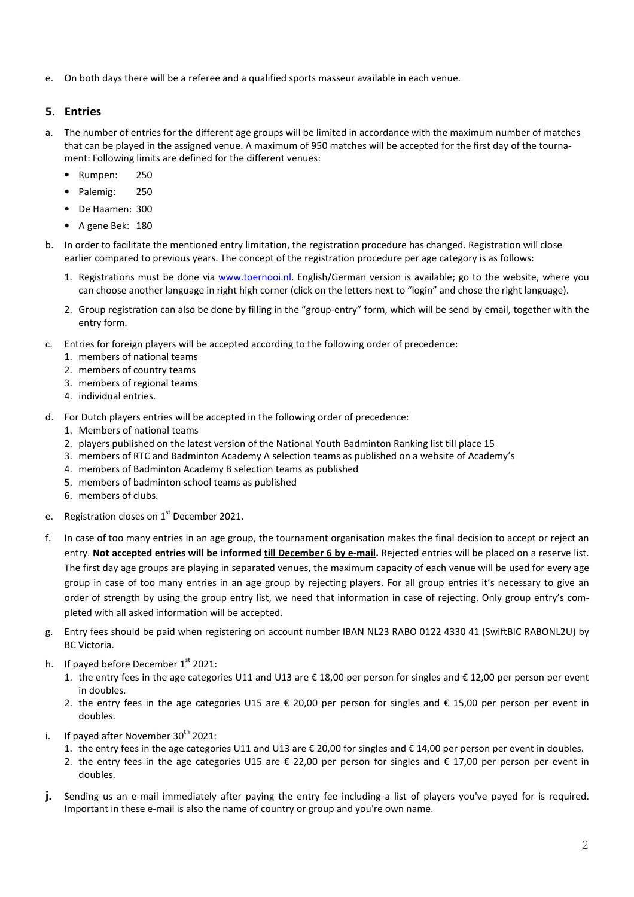e. On both days there will be a referee and a qualified sports masseur available in each venue.

## **5. Entries**

- a. The number of entries for the different age groups will be limited in accordance with the maximum number of matches that can be played in the assigned venue. A maximum of 950 matches will be accepted for the first day of the tournament: Following limits are defined for the different venues:
	- Rumpen: 250
	- Palemig: 250
	- De Haamen: 300
	- A gene Bek: 180
- b. In order to facilitate the mentioned entry limitation, the registration procedure has changed. Registration will close earlier compared to previous years. The concept of the registration procedure per age category is as follows:
	- 1. Registrations must be done via www.toernooi.nl. English/German version is available; go to the website, where you can choose another language in right high corner (click on the letters next to "login" and chose the right language).
	- 2. Group registration can also be done by filling in the "group-entry" form, which will be send by email, together with the entry form.
- c. Entries for foreign players will be accepted according to the following order of precedence:
	- 1. members of national teams
	- 2. members of country teams
	- 3. members of regional teams
	- 4. individual entries.
- d. For Dutch players entries will be accepted in the following order of precedence:
	- 1. Members of national teams
	- 2. players published on the latest version of the National Youth Badminton Ranking list till place 15
	- 3. members of RTC and Badminton Academy A selection teams as published on a website of Academy's
	- 4. members of Badminton Academy B selection teams as published
	- 5. members of badminton school teams as published
	- 6. members of clubs.
- e. Registration closes on  $1<sup>st</sup>$  December 2021.
- f. In case of too many entries in an age group, the tournament organisation makes the final decision to accept or reject an entry. **Not accepted entries will be informed till December 6 by e-mail.** Rejected entries will be placed on a reserve list. The first day age groups are playing in separated venues, the maximum capacity of each venue will be used for every age group in case of too many entries in an age group by rejecting players. For all group entries it's necessary to give an order of strength by using the group entry list, we need that information in case of rejecting. Only group entry's completed with all asked information will be accepted.
- g. Entry fees should be paid when registering on account number IBAN NL23 RABO 0122 4330 41 (SwiftBIC RABONL2U) by BC Victoria.
- h. If payed before December  $1<sup>st</sup>$  2021:
	- 1. the entry fees in the age categories U11 and U13 are € 18,00 per person for singles and € 12,00 per person per event in doubles.
	- 2. the entry fees in the age categories U15 are € 20,00 per person for singles and € 15,00 per person per event in doubles.
- i. If payed after November  $30<sup>th</sup>$  2021:
	- 1. the entry fees in the age categories U11 and U13 are € 20,00 for singles and € 14,00 per person per event in doubles.
	- 2. the entry fees in the age categories U15 are € 22,00 per person for singles and € 17,00 per person per event in doubles.
- **j.** Sending us an e-mail immediately after paying the entry fee including a list of players you've payed for is required. Important in these e-mail is also the name of country or group and you're own name.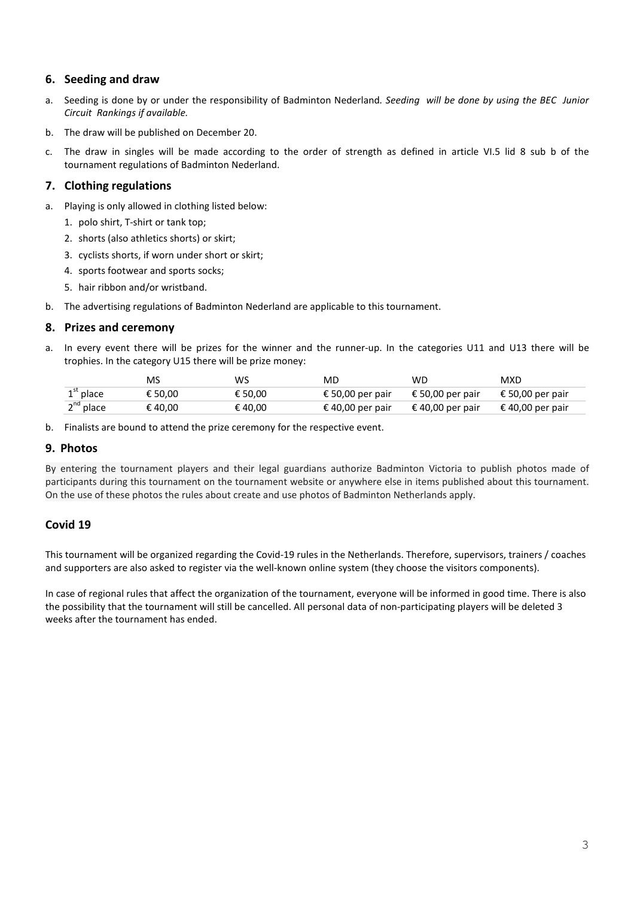## **6. Seeding and draw**

- a. Seeding is done by or under the responsibility of Badminton Nederland*. Seeding will be done by using the BEC Junior Circuit Rankings if available.*
- b. The draw will be published on December 20.
- c. The draw in singles will be made according to the order of strength as defined in article VI.5 lid 8 sub b of the tournament regulations of Badminton Nederland.

## **7. Clothing regulations**

- a. Playing is only allowed in clothing listed below:
	- 1. polo shirt, T-shirt or tank top;
	- 2. shorts (also athletics shorts) or skirt;
	- 3. cyclists shorts, if worn under short or skirt;
	- 4. sports footwear and sports socks;
	- 5. hair ribbon and/or wristband.
- b. The advertising regulations of Badminton Nederland are applicable to this tournament.

## **8. Prizes and ceremony**

a. In every event there will be prizes for the winner and the runner-up. In the categories U11 and U13 there will be trophies. In the category U15 there will be prize money:

|                | MS      | WS      | MD               | WD               | MXD              |
|----------------|---------|---------|------------------|------------------|------------------|
| $1st$ place    | € 50.00 | € 50.00 | € 50,00 per pair | € 50,00 per pair | € 50,00 per pair |
| $2^{nd}$ place | € 40,00 | € 40,00 | € 40,00 per pair | € 40,00 per pair | € 40,00 per pair |

b. Finalists are bound to attend the prize ceremony for the respective event.

#### **9. Photos**

By entering the tournament players and their legal guardians authorize Badminton Victoria to publish photos made of participants during this tournament on the tournament website or anywhere else in items published about this tournament. On the use of these photos the rules about create and use photos of Badminton Netherlands apply.

## **Covid 19**

This tournament will be organized regarding the Covid-19 rules in the Netherlands. Therefore, supervisors, trainers / coaches and supporters are also asked to register via the well-known online system (they choose the visitors components).

In case of regional rules that affect the organization of the tournament, everyone will be informed in good time. There is also the possibility that the tournament will still be cancelled. All personal data of non-participating players will be deleted 3 weeks after the tournament has ended.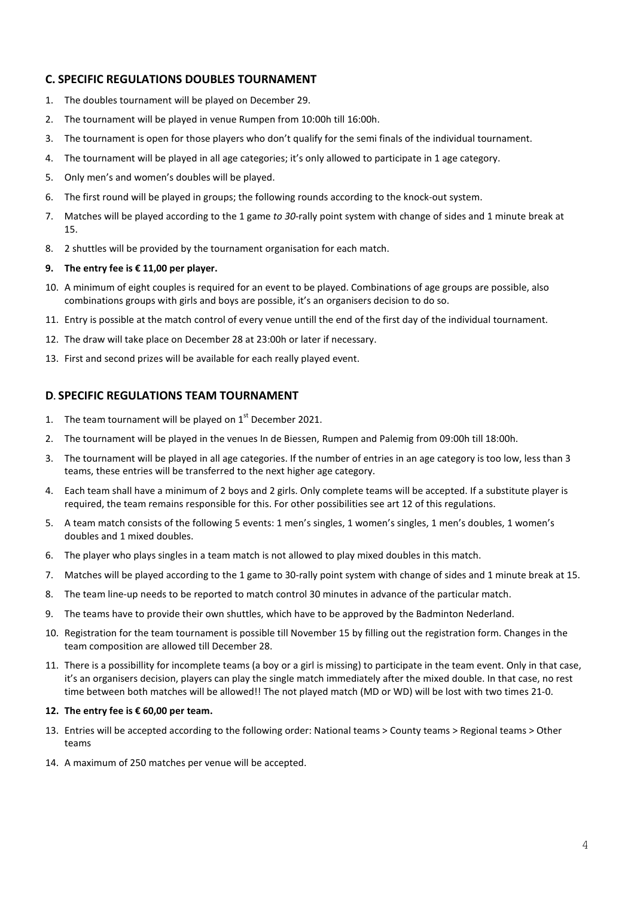## **C. SPECIFIC REGULATIONS DOUBLES TOURNAMENT**

- 1. The doubles tournament will be played on December 29.
- 2. The tournament will be played in venue Rumpen from 10:00h till 16:00h.
- 3. The tournament is open for those players who don't qualify for the semi finals of the individual tournament.
- 4. The tournament will be played in all age categories; it's only allowed to participate in 1 age category.
- 5. Only men's and women's doubles will be played.
- 6. The first round will be played in groups; the following rounds according to the knock-out system.
- 7. Matches will be played according to the 1 game *to 30*-rally point system with change of sides and 1 minute break at 15.
- 8. 2 shuttles will be provided by the tournament organisation for each match.

#### **9. The entry fee is € 11,00 per player.**

- 10. A minimum of eight couples is required for an event to be played. Combinations of age groups are possible, also combinations groups with girls and boys are possible, it's an organisers decision to do so.
- 11. Entry is possible at the match control of every venue untill the end of the first day of the individual tournament.
- 12. The draw will take place on December 28 at 23:00h or later if necessary.
- 13. First and second prizes will be available for each really played event.

## **D. SPECIFIC REGULATIONS TEAM TOURNAMENT**

- 1. The team tournament will be played on  $1<sup>st</sup>$  December 2021.
- 2. The tournament will be played in the venues In de Biessen, Rumpen and Palemig from 09:00h till 18:00h.
- 3. The tournament will be played in all age categories. If the number of entries in an age category is too low, less than 3 teams, these entries will be transferred to the next higher age category.
- 4. Each team shall have a minimum of 2 boys and 2 girls. Only complete teams will be accepted. If a substitute player is required, the team remains responsible for this. For other possibilities see art 12 of this regulations.
- 5. A team match consists of the following 5 events: 1 men's singles, 1 women's singles, 1 men's doubles, 1 women's doubles and 1 mixed doubles.
- 6. The player who plays singles in a team match is not allowed to play mixed doubles in this match.
- 7. Matches will be played according to the 1 game to 30-rally point system with change of sides and 1 minute break at 15.
- 8. The team line-up needs to be reported to match control 30 minutes in advance of the particular match.
- 9. The teams have to provide their own shuttles, which have to be approved by the Badminton Nederland.
- 10. Registration for the team tournament is possible till November 15 by filling out the registration form. Changes in the team composition are allowed till December 28.
- 11. There is a possibillity for incomplete teams (a boy or a girl is missing) to participate in the team event. Only in that case, it's an organisers decision, players can play the single match immediately after the mixed double. In that case, no rest time between both matches will be allowed!! The not played match (MD or WD) will be lost with two times 21-0.

#### **12. The entry fee is € 60,00 per team.**

- 13. Entries will be accepted according to the following order: National teams > County teams > Regional teams > Other teams
- 14. A maximum of 250 matches per venue will be accepted.